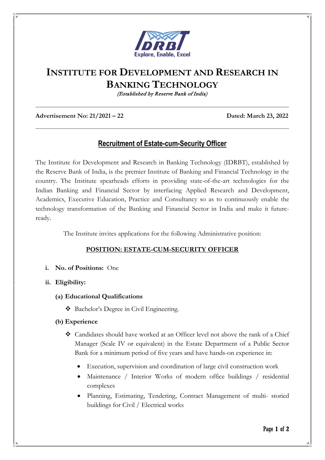

# **INSTITUTE FOR DEVELOPMENT AND RESEARCH IN BANKING TECHNOLOGY**

(Established by Reserve Bank of India)

**Advertisement No: 21/2021 – 22 Dated: March 23, 2022** 

# **Recruitment of Estate-cum-Security Officer**

The Institute for Development and Research in Banking Technology (IDRBT), established by the Reserve Bank of India, is the premier Institute of Banking and Financial Technology in the country. The Institute spearheads efforts in providing state-of-the-art technologies for the Indian Banking and Financial Sector by interfacing Applied Research and Development, Academics, Executive Education, Practice and Consultancy so as to continuously enable the technology transformation of the Banking and Financial Sector in India and make it futureready.

The Institute invites applications for the following Administrative position:

# **POSITION: ESTATE-CUM-SECURITY OFFICER**

- **i. No. of Positions:** One
- **ii. Eligibility:**
	- **(a) Educational Qualifications**
		- Bachelor's Degree in Civil Engineering.
	- **(b) Experience**
		- Candidates should have worked at an Officer level not above the rank of a Chief Manager (Scale IV or equivalent) in the Estate Department of a Public Sector Bank for a minimum period of five years and have hands-on experience in:
			- Execution, supervision and coordination of large civil construction work
			- Maintenance / Interior Works of modern office buildings / residential complexes
			- Planning, Estimating, Tendering, Contract Management of multi- storied buildings for Civil / Electrical works